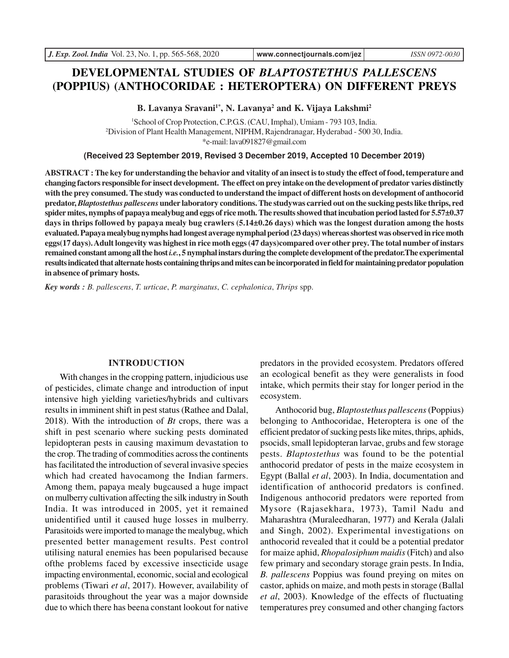# **DEVELOPMENTAL STUDIES OF** *BLAPTOSTETHUS PALLESCENS* **(POPPIUS) (ANTHOCORIDAE : HETEROPTERA) ON DIFFERENT PREYS**

**B. Lavanya Sravani1\*, N. Lavanya<sup>2</sup> and K. Vijaya Lakshmi<sup>2</sup>**

<sup>1</sup>School of Crop Protection, C.P.G.S. (CAU, Imphal), Umiam - 793 103, India. <sup>2</sup>Division of Plant Health Management, NIPHM, Rajendranagar, Hyderabad - 500 30, India. \*e-mail: lava091827@gmail.com

**(Received 23 September 2019, Revised 3 December 2019, Accepted 10 December 2019)**

**ABSTRACT : The key for understanding the behavior and vitality of an insect is to study the effect of food, temperature and changing factors responsible for insect development. The effect on prey intake on the development of predator varies distinctly with the prey consumed. The study was conducted to understand the impact of different hosts on development of anthocorid predator,** *Blaptostethus pallescens* **under laboratory conditions. The studywas carried out on the sucking pests like thrips, red spider mites, nymphs of papaya mealybug and eggs of rice moth. The results showed that incubation period lasted for 5.57±0.37 days in thrips followed by papaya mealy bug crawlers (5.14±0.26 days) which was the longest duration among the hosts evaluated. Papaya mealybug nymphs had longest average nymphal period (23 days) whereas shortest was observed in rice moth eggs(17 days). Adult longevity was highest in rice moth eggs (47 days)compared over other prey. The total number of instars remained constant among all the host** *i.e.***, 5 nymphal instars during the complete development of the predator.The experimental results indicated that alternate hosts containing thrips and mites can be incorporated in field for maintaining predator population in absence of primary hosts.**

*Key words : B. pallescens*, *T. urticae*, *P. marginatus*, *C. cephalonica*, *Thrips* spp.

#### **INTRODUCTION**

With changes in the cropping pattern, injudicious use of pesticides, climate change and introduction of input intensive high yielding varieties/hybrids and cultivars results in imminent shift in pest status (Rathee and Dalal, 2018). With the introduction of *Bt* crops, there was a shift in pest scenario where sucking pests dominated lepidopteran pests in causing maximum devastation to the crop. The trading of commodities across the continents has facilitated the introduction of several invasive species which had created havocamong the Indian farmers. Among them, papaya mealy bugcaused a huge impact on mulberry cultivation affecting the silk industry in South India. It was introduced in 2005, yet it remained unidentified until it caused huge losses in mulberry. Parasitoids were imported to manage the mealybug, which presented better management results. Pest control utilising natural enemies has been popularised because ofthe problems faced by excessive insecticide usage impacting environmental, economic, social and ecological problems (Tiwari *et al*, 2017). However, availability of parasitoids throughout the year was a major downside due to which there has beena constant lookout for native

predators in the provided ecosystem. Predators offered an ecological benefit as they were generalists in food intake, which permits their stay for longer period in the ecosystem.

Anthocorid bug, *Blaptostethus pallescens* (Poppius) belonging to Anthocoridae, Heteroptera is one of the efficient predator of sucking pests like mites, thrips, aphids, psocids, small lepidopteran larvae, grubs and few storage pests. *Blaptostethus* was found to be the potential anthocorid predator of pests in the maize ecosystem in Egypt (Ballal *et al*, 2003). In India, documentation and identification of anthocorid predators is confined. Indigenous anthocorid predators were reported from Mysore (Rajasekhara, 1973), Tamil Nadu and Maharashtra (Muraleedharan, 1977) and Kerala (Jalali and Singh, 2002). Experimental investigations on anthocorid revealed that it could be a potential predator for maize aphid, *Rhopalosiphum maidis* (Fitch) and also few primary and secondary storage grain pests. In India, *B. pallescens* Poppius was found preying on mites on castor, aphids on maize, and moth pests in storage (Ballal *et al*, 2003). Knowledge of the effects of fluctuating temperatures prey consumed and other changing factors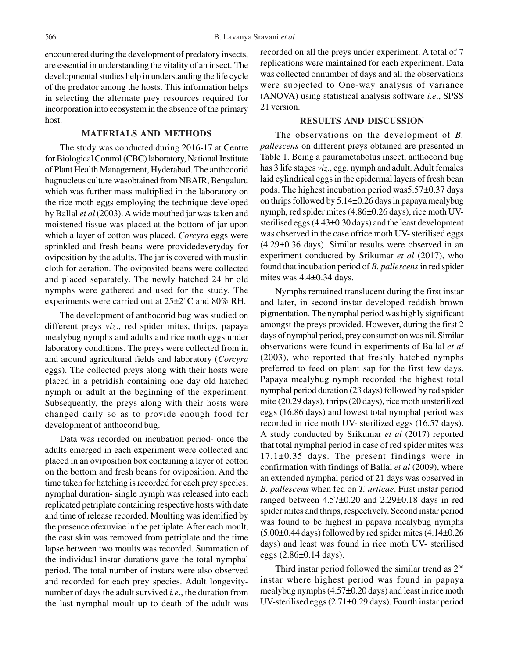encountered during the development of predatory insects, are essential in understanding the vitality of an insect. The developmental studies help in understanding the life cycle of the predator among the hosts. This information helps in selecting the alternate prey resources required for incorporation into ecosystem in the absence of the primary host.

## **MATERIALS AND METHODS**

The study was conducted during 2016-17 at Centre for Biological Control (CBC) laboratory, National Institute of Plant Health Management, Hyderabad. The anthocorid bugnucleus culture wasobtained from NBAIR, Bengaluru which was further mass multiplied in the laboratory on the rice moth eggs employing the technique developed by Ballal *et al* (2003). A wide mouthed jar was taken and moistened tissue was placed at the bottom of jar upon which a layer of cotton was placed. *Corcyra* eggs were sprinkled and fresh beans were providedeveryday for oviposition by the adults. The jar is covered with muslin cloth for aeration. The oviposited beans were collected and placed separately. The newly hatched 24 hr old nymphs were gathered and used for the study. The experiments were carried out at 25±2°C and 80% RH.

The development of anthocorid bug was studied on different preys *viz*., red spider mites, thrips, papaya mealybug nymphs and adults and rice moth eggs under laboratory conditions. The preys were collected from in and around agricultural fields and laboratory (*Corcyra* eggs). The collected preys along with their hosts were placed in a petridish containing one day old hatched nymph or adult at the beginning of the experiment. Subsequently, the preys along with their hosts were changed daily so as to provide enough food for development of anthocorid bug.

Data was recorded on incubation period- once the adults emerged in each experiment were collected and placed in an oviposition box containing a layer of cotton on the bottom and fresh beans for oviposition. And the time taken for hatching is recorded for each prey species; nymphal duration- single nymph was released into each replicated petriplate containing respective hosts with date and time of release recorded. Moulting was identified by the presence ofexuviae in the petriplate. After each moult, the cast skin was removed from petriplate and the time lapse between two moults was recorded. Summation of the individual instar durations gave the total nymphal period. The total number of instars were also observed and recorded for each prey species. Adult longevitynumber of days the adult survived *i.e*., the duration from the last nymphal moult up to death of the adult was recorded on all the preys under experiment. A total of 7 replications were maintained for each experiment. Data was collected onnumber of days and all the observations were subjected to One-way analysis of variance (ANOVA) using statistical analysis software *i.e*., SPSS 21 version.

## **RESULTS AND DISCUSSION**

The observations on the development of *B. pallescens* on different preys obtained are presented in Table 1. Being a paurametabolus insect, anthocorid bug has 3 life stages *viz*., egg, nymph and adult. Adult females laid cylindrical eggs in the epidermal layers of fresh bean pods. The highest incubation period was5.57±0.37 days on thrips followed by 5.14±0.26 days in papaya mealybug nymph, red spider mites (4.86±0.26 days), rice moth UVsterilised eggs (4.43±0.30 days) and the least development was observed in the case ofrice moth UV- sterilised eggs (4.29±0.36 days). Similar results were observed in an experiment conducted by Srikumar *et al* (2017), who found that incubation period of *B. pallescens* in red spider mites was  $4.4\pm0.34$  days.

Nymphs remained translucent during the first instar and later, in second instar developed reddish brown pigmentation. The nymphal period was highly significant amongst the preys provided. However, during the first 2 days of nymphal period, prey consumption was nil. Similar observations were found in experiments of Ballal *et al* (2003), who reported that freshly hatched nymphs preferred to feed on plant sap for the first few days. Papaya mealybug nymph recorded the highest total nymphal period duration (23 days) followed by red spider mite (20.29 days), thrips (20 days), rice moth unsterilized eggs (16.86 days) and lowest total nymphal period was recorded in rice moth UV- sterilized eggs (16.57 days). A study conducted by Srikumar *et al* (2017) reported that total nymphal period in case of red spider mites was 17.1±0.35 days. The present findings were in confirmation with findings of Ballal *et al* (2009), where an extended nymphal period of 21 days was observed in *B. pallescens* when fed on *T. urticae*. First instar period ranged between 4.57±0.20 and 2.29±0.18 days in red spider mites and thrips, respectively. Second instar period was found to be highest in papaya mealybug nymphs  $(5.00\pm0.44$  days) followed by red spider mites  $(4.14\pm0.26$ days) and least was found in rice moth UV- sterilised eggs (2.86±0.14 days).

Third instar period followed the similar trend as 2nd instar where highest period was found in papaya mealybug nymphs (4.57±0.20 days) and least in rice moth UV-sterilised eggs (2.71±0.29 days). Fourth instar period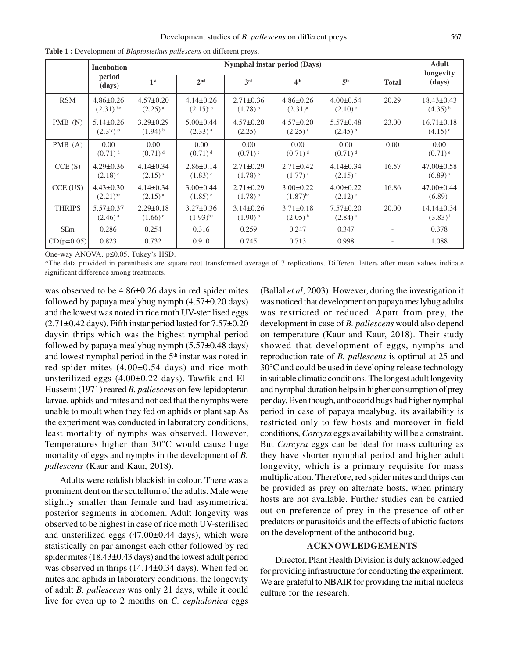|               | <b>Incubation</b><br>period<br>(days)      | Nymphal instar period (Days)             |                                           |                                        |                                           |                                          |                          | <b>Adult</b>                              |
|---------------|--------------------------------------------|------------------------------------------|-------------------------------------------|----------------------------------------|-------------------------------------------|------------------------------------------|--------------------------|-------------------------------------------|
|               |                                            | 1 <sup>st</sup>                          | 2 <sup>nd</sup>                           | 3 <sup>rd</sup>                        | 4 <sup>th</sup>                           | 5 <sup>th</sup>                          | <b>Total</b>             | longevity<br>(days)                       |
| <b>RSM</b>    | $4.86 \pm 0.26$<br>$(2.31)$ <sup>abc</sup> | $4.57 \pm 0.20$<br>$(2.25)^{a}$          | $4.14\pm0.26$<br>$(2.15)^{ab}$            | $2.71 \pm 0.36$<br>$(1.78)^{b}$        | $4.86 \pm 0.26$<br>$(2.31)^{a}$           | $4.00 \pm 0.54$<br>$(2.10)$ <sup>c</sup> | 20.29                    | 18.43±0.43<br>$(4.35)^{b}$                |
| PMB(N)        | $5.14 \pm 0.26$<br>$(2.37)$ <sup>ab</sup>  | $3.29 \pm 0.29$<br>$(1.94)$ <sup>b</sup> | $5.00 \pm 0.44$<br>$(2.33)$ <sup>a</sup>  | $4.57 \pm 0.20$<br>$(2.25)^{a}$        | $4.57 \pm 0.20$<br>$(2.25)$ <sup>a</sup>  | $5.57 \pm 0.48$<br>$(2.45)^{b}$          | 23.00                    | $16.71 \pm 0.18$<br>$(4.15)$ <sup>c</sup> |
| PMB(A)        | $0.00^{\circ}$<br>$(0.71)^d$               | $0.00^{\circ}$<br>$(0.71)^d$             | 0.00<br>$(0.71)^d$                        | 0.00<br>$(0.71)$ <sup>c</sup>          | 0.00<br>$(0.71)^d$                        | 0.00<br>$(0.71)$ <sup>d</sup>            | 0.00                     | 0.00<br>$(0.71)$ <sup>e</sup>             |
| CCE(S)        | $4.29 \pm 0.36$<br>$(2.18)$ <sup>c</sup>   | $4.14\pm0.34$<br>$(2.15)^{a}$            | $2.86 \pm 0.14$<br>$(1.83)$ <sup>c</sup>  | $2.71 \pm 0.29$<br>$(1.78)^{b}$        | $2.71 \pm 0.42$<br>$(1.77)$ °             | $4.14\pm0.34$<br>$(2.15)$ <sup>c</sup>   | 16.57                    | $47.00 \pm 0.58$<br>$(6.89)$ <sup>a</sup> |
| $CCE$ (US)    | $4.43 \pm 0.30$<br>$(2.21)^{bc}$           | $4.14\pm0.34$<br>$(2.15)^{a}$            | $3.00 \pm 0.44$<br>$(1.85)$ <sup>c</sup>  | $2.71 \pm 0.29$<br>$(1.78)^{b}$        | $3.00 \pm 0.22$<br>$(1.87)$ <sup>bc</sup> | $4.00 \pm 0.22$<br>$(2.12)$ <sup>c</sup> | 16.86                    | $47.00 \pm 0.44$<br>$(6.89)^{a}$          |
| <b>THRIPS</b> | $5.57 \pm 0.37$<br>$(2.46)$ <sup>a</sup>   | $2.29 \pm 0.18$<br>$(1.66)$ <sup>c</sup> | $3.27 \pm 0.36$<br>$(1.93)$ <sup>bc</sup> | $3.14\pm0.26$<br>$(1.90)$ <sup>b</sup> | $3.71 \pm 0.18$<br>$(2.05)^{b}$           | $7.57 \pm 0.20$<br>$(2.84)$ <sup>a</sup> | 20.00                    | 14.14±0.34<br>$(3.83)^d$                  |
| <b>SEm</b>    | 0.286                                      | 0.254                                    | 0.316                                     | 0.259                                  | 0.247                                     | 0.347                                    | $\overline{\phantom{a}}$ | 0.378                                     |
| $CD(p=0.05)$  | 0.823                                      | 0.732                                    | 0.910                                     | 0.745                                  | 0.713                                     | 0.998                                    |                          | 1.088                                     |

**Table 1 :** Development of *Blaptostethus pallescens* on different preys.

One-way ANOVA, p≤0.05, Tukey's HSD.

\*The data provided in parenthesis are square root transformed average of 7 replications. Different letters after mean values indicate significant difference among treatments.

was observed to be  $4.86\pm0.26$  days in red spider mites followed by papaya mealybug nymph  $(4.57\pm0.20 \text{ days})$ and the lowest was noted in rice moth UV-sterilised eggs  $(2.71\pm0.42$  days). Fifth instar period lasted for  $7.57\pm0.20$ daysin thrips which was the highest nymphal period followed by papaya mealybug nymph  $(5.57\pm0.48 \text{ days})$ and lowest nymphal period in the 5<sup>th</sup> instar was noted in red spider mites (4.00±0.54 days) and rice moth unsterilized eggs  $(4.00\pm0.22 \text{ days})$ . Tawfik and El-Husseini (1971) reared *B. pallescens* on few lepidopteran larvae, aphids and mites and noticed that the nymphs were unable to moult when they fed on aphids or plant sap.As the experiment was conducted in laboratory conditions, least mortality of nymphs was observed. However, Temperatures higher than 30°C would cause huge mortality of eggs and nymphs in the development of *B. pallescens* (Kaur and Kaur, 2018).

Adults were reddish blackish in colour. There was a prominent dent on the scutellum of the adults. Male were slightly smaller than female and had asymmetrical posterior segments in abdomen. Adult longevity was observed to be highest in case of rice moth UV-sterilised and unsterilized eggs  $(47.00\pm0.44 \text{ days})$ , which were statistically on par amongst each other followed by red spider mites (18.43±0.43 days) and the lowest adult period was observed in thrips (14.14±0.34 days). When fed on mites and aphids in laboratory conditions, the longevity of adult *B. pallescens* was only 21 days, while it could live for even up to 2 months on *C. cephalonica* eggs

(Ballal *et al*, 2003). However, during the investigation it was noticed that development on papaya mealybug adults was restricted or reduced. Apart from prey, the development in case of *B. pallescens* would also depend on temperature (Kaur and Kaur, 2018). Their study showed that development of eggs, nymphs and reproduction rate of *B. pallescens* is optimal at 25 and 30°C and could be used in developing release technology in suitable climatic conditions. The longest adult longevity and nymphal duration helps in higher consumption of prey per day. Even though, anthocorid bugs had higher nymphal period in case of papaya mealybug, its availability is restricted only to few hosts and moreover in field conditions, *Corcyra* eggs availability will be a constraint. But *Corcyra* eggs can be ideal for mass culturing as they have shorter nymphal period and higher adult longevity, which is a primary requisite for mass multiplication. Therefore, red spider mites and thrips can be provided as prey on alternate hosts, when primary hosts are not available. Further studies can be carried out on preference of prey in the presence of other predators or parasitoids and the effects of abiotic factors on the development of the anthocorid bug.

### **ACKNOWLEDGEMENTS**

Director, Plant Health Division is duly acknowledged for providing infrastructure for conducting the experiment. We are grateful to NBAIR for providing the initial nucleus culture for the research.